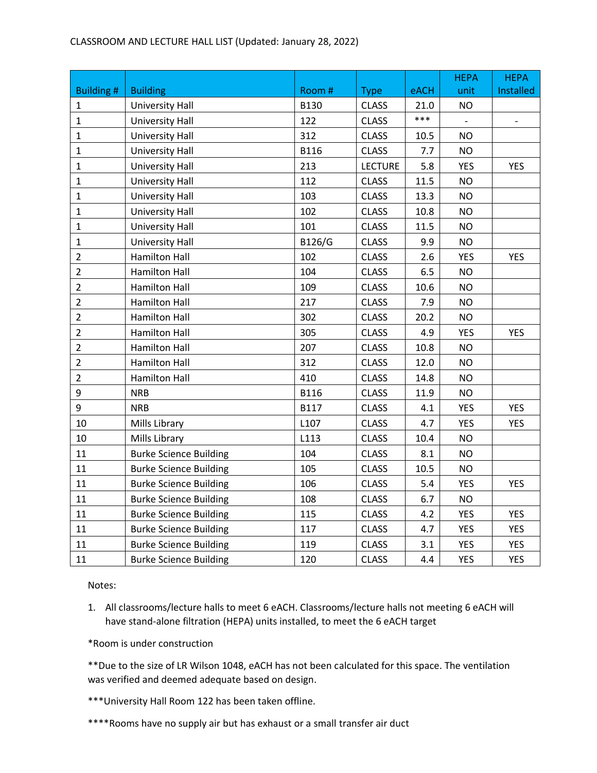## CLASSROOM AND LECTURE HALL LIST (Updated: January 28, 2022)

|                  |                               |             |                |      | <b>HEPA</b> | <b>HEPA</b> |
|------------------|-------------------------------|-------------|----------------|------|-------------|-------------|
| <b>Building#</b> | <b>Building</b>               | Room #      | <b>Type</b>    | eACH | unit        | Installed   |
| $\mathbf{1}$     | <b>University Hall</b>        | <b>B130</b> | <b>CLASS</b>   | 21.0 | <b>NO</b>   |             |
| $\mathbf{1}$     | <b>University Hall</b>        | 122         | <b>CLASS</b>   | ***  |             |             |
| $\mathbf 1$      | <b>University Hall</b>        | 312         | <b>CLASS</b>   | 10.5 | <b>NO</b>   |             |
| $\mathbf{1}$     | <b>University Hall</b>        | <b>B116</b> | <b>CLASS</b>   | 7.7  | <b>NO</b>   |             |
| $\mathbf{1}$     | <b>University Hall</b>        | 213         | <b>LECTURE</b> | 5.8  | <b>YES</b>  | <b>YES</b>  |
| $\mathbf{1}$     | <b>University Hall</b>        | 112         | <b>CLASS</b>   | 11.5 | <b>NO</b>   |             |
| $\mathbf{1}$     | <b>University Hall</b>        | 103         | <b>CLASS</b>   | 13.3 | <b>NO</b>   |             |
| $\mathbf{1}$     | <b>University Hall</b>        | 102         | <b>CLASS</b>   | 10.8 | <b>NO</b>   |             |
| $\mathbf{1}$     | <b>University Hall</b>        | 101         | <b>CLASS</b>   | 11.5 | <b>NO</b>   |             |
| $\mathbf{1}$     | <b>University Hall</b>        | B126/G      | <b>CLASS</b>   | 9.9  | <b>NO</b>   |             |
| $\overline{2}$   | <b>Hamilton Hall</b>          | 102         | <b>CLASS</b>   | 2.6  | <b>YES</b>  | <b>YES</b>  |
| $\overline{2}$   | <b>Hamilton Hall</b>          | 104         | <b>CLASS</b>   | 6.5  | <b>NO</b>   |             |
| $\overline{2}$   | <b>Hamilton Hall</b>          | 109         | <b>CLASS</b>   | 10.6 | <b>NO</b>   |             |
| $\overline{2}$   | <b>Hamilton Hall</b>          | 217         | <b>CLASS</b>   | 7.9  | <b>NO</b>   |             |
| $\overline{2}$   | <b>Hamilton Hall</b>          | 302         | <b>CLASS</b>   | 20.2 | <b>NO</b>   |             |
| $\overline{2}$   | <b>Hamilton Hall</b>          | 305         | <b>CLASS</b>   | 4.9  | <b>YES</b>  | <b>YES</b>  |
| $\overline{2}$   | <b>Hamilton Hall</b>          | 207         | <b>CLASS</b>   | 10.8 | <b>NO</b>   |             |
| $\overline{2}$   | <b>Hamilton Hall</b>          | 312         | <b>CLASS</b>   | 12.0 | <b>NO</b>   |             |
| $\overline{2}$   | <b>Hamilton Hall</b>          | 410         | <b>CLASS</b>   | 14.8 | <b>NO</b>   |             |
| 9                | <b>NRB</b>                    | <b>B116</b> | <b>CLASS</b>   | 11.9 | <b>NO</b>   |             |
| 9                | <b>NRB</b>                    | <b>B117</b> | <b>CLASS</b>   | 4.1  | <b>YES</b>  | <b>YES</b>  |
| 10               | Mills Library                 | L107        | <b>CLASS</b>   | 4.7  | <b>YES</b>  | <b>YES</b>  |
| 10               | Mills Library                 | L113        | <b>CLASS</b>   | 10.4 | <b>NO</b>   |             |
| 11               | <b>Burke Science Building</b> | 104         | <b>CLASS</b>   | 8.1  | <b>NO</b>   |             |
| 11               | <b>Burke Science Building</b> | 105         | <b>CLASS</b>   | 10.5 | <b>NO</b>   |             |
| 11               | <b>Burke Science Building</b> | 106         | <b>CLASS</b>   | 5.4  | <b>YES</b>  | <b>YES</b>  |
| 11               | <b>Burke Science Building</b> | 108         | <b>CLASS</b>   | 6.7  | <b>NO</b>   |             |
| 11               | <b>Burke Science Building</b> | 115         | <b>CLASS</b>   | 4.2  | <b>YES</b>  | <b>YES</b>  |
| $11\,$           | <b>Burke Science Building</b> | 117         | <b>CLASS</b>   | 4.7  | <b>YES</b>  | <b>YES</b>  |
| 11               | <b>Burke Science Building</b> | 119         | <b>CLASS</b>   | 3.1  | <b>YES</b>  | <b>YES</b>  |
| 11               | <b>Burke Science Building</b> | 120         | <b>CLASS</b>   | 4.4  | <b>YES</b>  | <b>YES</b>  |

Notes:

1. All classrooms/lecture halls to meet 6 eACH. Classrooms/lecture halls not meeting 6 eACH will have stand-alone filtration (HEPA) units installed, to meet the 6 eACH target

\*Room is under construction

\*\*Due to the size of LR Wilson 1048, eACH has not been calculated for this space. The ventilation was verified and deemed adequate based on design.

\*\*\*University Hall Room 122 has been taken offline.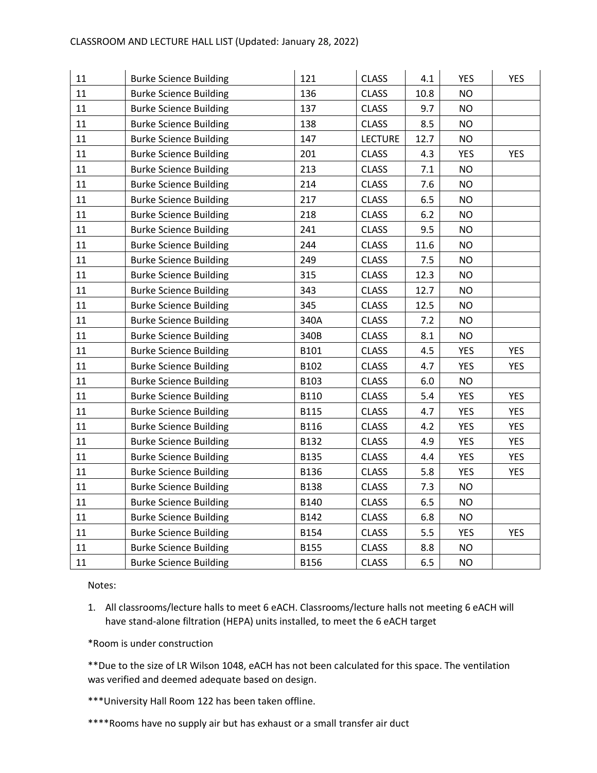| 11     | <b>Burke Science Building</b> | 121         | <b>CLASS</b>   | 4.1   | <b>YES</b> | <b>YES</b> |
|--------|-------------------------------|-------------|----------------|-------|------------|------------|
| 11     | <b>Burke Science Building</b> | 136         | <b>CLASS</b>   | 10.8  | <b>NO</b>  |            |
| 11     | <b>Burke Science Building</b> | 137         | <b>CLASS</b>   | 9.7   | <b>NO</b>  |            |
| 11     | <b>Burke Science Building</b> | 138         | <b>CLASS</b>   | 8.5   | <b>NO</b>  |            |
| 11     | <b>Burke Science Building</b> | 147         | <b>LECTURE</b> | 12.7  | <b>NO</b>  |            |
| 11     | <b>Burke Science Building</b> | 201         | <b>CLASS</b>   | 4.3   | <b>YES</b> | <b>YES</b> |
| 11     | <b>Burke Science Building</b> | 213         | <b>CLASS</b>   | 7.1   | <b>NO</b>  |            |
| 11     | <b>Burke Science Building</b> | 214         | <b>CLASS</b>   | 7.6   | <b>NO</b>  |            |
| 11     | <b>Burke Science Building</b> | 217         | <b>CLASS</b>   | 6.5   | <b>NO</b>  |            |
| 11     | <b>Burke Science Building</b> | 218         | <b>CLASS</b>   | $6.2$ | <b>NO</b>  |            |
| 11     | <b>Burke Science Building</b> | 241         | <b>CLASS</b>   | 9.5   | <b>NO</b>  |            |
| 11     | <b>Burke Science Building</b> | 244         | <b>CLASS</b>   | 11.6  | <b>NO</b>  |            |
| 11     | <b>Burke Science Building</b> | 249         | <b>CLASS</b>   | 7.5   | <b>NO</b>  |            |
| 11     | <b>Burke Science Building</b> | 315         | <b>CLASS</b>   | 12.3  | <b>NO</b>  |            |
| $11\,$ | <b>Burke Science Building</b> | 343         | <b>CLASS</b>   | 12.7  | <b>NO</b>  |            |
| 11     | <b>Burke Science Building</b> | 345         | <b>CLASS</b>   | 12.5  | <b>NO</b>  |            |
| 11     | <b>Burke Science Building</b> | 340A        | <b>CLASS</b>   | 7.2   | <b>NO</b>  |            |
| 11     | <b>Burke Science Building</b> | 340B        | <b>CLASS</b>   | 8.1   | <b>NO</b>  |            |
| 11     | <b>Burke Science Building</b> | B101        | <b>CLASS</b>   | 4.5   | <b>YES</b> | <b>YES</b> |
| 11     | <b>Burke Science Building</b> | B102        | <b>CLASS</b>   | 4.7   | <b>YES</b> | <b>YES</b> |
| 11     | <b>Burke Science Building</b> | B103        | <b>CLASS</b>   | 6.0   | <b>NO</b>  |            |
| 11     | <b>Burke Science Building</b> | <b>B110</b> | <b>CLASS</b>   | 5.4   | <b>YES</b> | <b>YES</b> |
| 11     | <b>Burke Science Building</b> | <b>B115</b> | <b>CLASS</b>   | 4.7   | <b>YES</b> | <b>YES</b> |
| 11     | <b>Burke Science Building</b> | <b>B116</b> | <b>CLASS</b>   | 4.2   | <b>YES</b> | <b>YES</b> |
| 11     | <b>Burke Science Building</b> | B132        | <b>CLASS</b>   | 4.9   | <b>YES</b> | <b>YES</b> |
| 11     | <b>Burke Science Building</b> | <b>B135</b> | <b>CLASS</b>   | 4.4   | YES        | <b>YES</b> |
| 11     | <b>Burke Science Building</b> | B136        | <b>CLASS</b>   | 5.8   | <b>YES</b> | <b>YES</b> |
| 11     | <b>Burke Science Building</b> | B138        | <b>CLASS</b>   | 7.3   | <b>NO</b>  |            |
| 11     | <b>Burke Science Building</b> | <b>B140</b> | <b>CLASS</b>   | 6.5   | <b>NO</b>  |            |
| 11     | <b>Burke Science Building</b> | B142        | <b>CLASS</b>   | 6.8   | <b>NO</b>  |            |
| 11     | <b>Burke Science Building</b> | B154        | <b>CLASS</b>   | 5.5   | <b>YES</b> | <b>YES</b> |
| 11     | <b>Burke Science Building</b> | <b>B155</b> | <b>CLASS</b>   | 8.8   | <b>NO</b>  |            |
| 11     | <b>Burke Science Building</b> | <b>B156</b> | <b>CLASS</b>   | 6.5   | <b>NO</b>  |            |

1. All classrooms/lecture halls to meet 6 eACH. Classrooms/lecture halls not meeting 6 eACH will have stand-alone filtration (HEPA) units installed, to meet the 6 eACH target

\*Room is under construction

\*\*Due to the size of LR Wilson 1048, eACH has not been calculated for this space. The ventilation was verified and deemed adequate based on design.

\*\*\*University Hall Room 122 has been taken offline.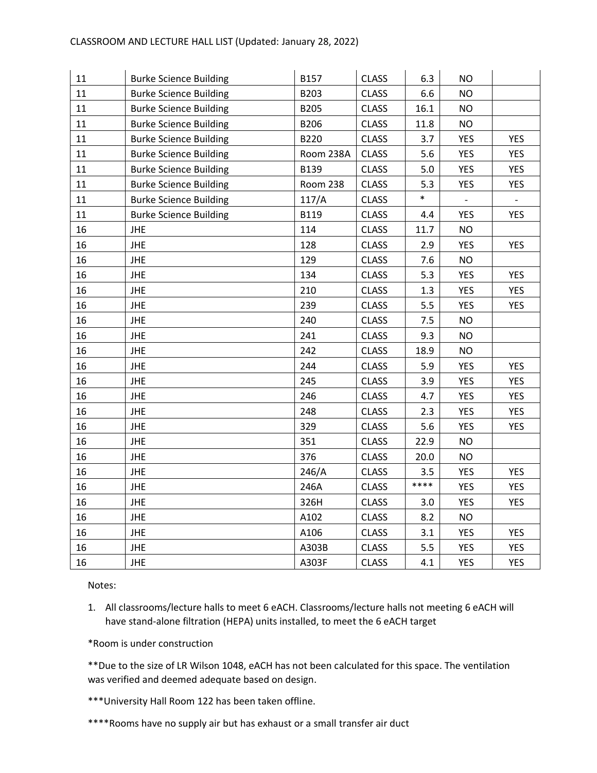| 11 | <b>Burke Science Building</b> | B157        | <b>CLASS</b> | 6.3    | <b>NO</b>  |                |
|----|-------------------------------|-------------|--------------|--------|------------|----------------|
| 11 | <b>Burke Science Building</b> | B203        | <b>CLASS</b> | 6.6    | <b>NO</b>  |                |
| 11 | <b>Burke Science Building</b> | B205        | <b>CLASS</b> | 16.1   | <b>NO</b>  |                |
| 11 | <b>Burke Science Building</b> | B206        | <b>CLASS</b> | 11.8   | <b>NO</b>  |                |
| 11 | <b>Burke Science Building</b> | B220        | <b>CLASS</b> | 3.7    | <b>YES</b> | <b>YES</b>     |
| 11 | <b>Burke Science Building</b> | Room 238A   | <b>CLASS</b> | 5.6    | <b>YES</b> | <b>YES</b>     |
| 11 | <b>Burke Science Building</b> | B139        | <b>CLASS</b> | 5.0    | <b>YES</b> | <b>YES</b>     |
| 11 | <b>Burke Science Building</b> | Room 238    | <b>CLASS</b> | 5.3    | <b>YES</b> | YES            |
| 11 | <b>Burke Science Building</b> | 117/A       | <b>CLASS</b> | $\ast$ | $\pm$      | $\blacksquare$ |
| 11 | <b>Burke Science Building</b> | <b>B119</b> | <b>CLASS</b> | 4.4    | <b>YES</b> | <b>YES</b>     |
| 16 | <b>JHE</b>                    | 114         | <b>CLASS</b> | 11.7   | <b>NO</b>  |                |
| 16 | <b>JHE</b>                    | 128         | <b>CLASS</b> | 2.9    | <b>YES</b> | <b>YES</b>     |
| 16 | <b>JHE</b>                    | 129         | <b>CLASS</b> | 7.6    | <b>NO</b>  |                |
| 16 | <b>JHE</b>                    | 134         | <b>CLASS</b> | 5.3    | <b>YES</b> | <b>YES</b>     |
| 16 | <b>JHE</b>                    | 210         | <b>CLASS</b> | 1.3    | <b>YES</b> | <b>YES</b>     |
| 16 | <b>JHE</b>                    | 239         | <b>CLASS</b> | 5.5    | <b>YES</b> | <b>YES</b>     |
| 16 | <b>JHE</b>                    | 240         | <b>CLASS</b> | 7.5    | <b>NO</b>  |                |
| 16 | <b>JHE</b>                    | 241         | <b>CLASS</b> | 9.3    | <b>NO</b>  |                |
| 16 | <b>JHE</b>                    | 242         | <b>CLASS</b> | 18.9   | <b>NO</b>  |                |
| 16 | <b>JHE</b>                    | 244         | <b>CLASS</b> | 5.9    | <b>YES</b> | <b>YES</b>     |
| 16 | <b>JHE</b>                    | 245         | <b>CLASS</b> | 3.9    | <b>YES</b> | <b>YES</b>     |
| 16 | <b>JHE</b>                    | 246         | <b>CLASS</b> | 4.7    | <b>YES</b> | <b>YES</b>     |
| 16 | <b>JHE</b>                    | 248         | <b>CLASS</b> | 2.3    | <b>YES</b> | <b>YES</b>     |
| 16 | <b>JHE</b>                    | 329         | <b>CLASS</b> | 5.6    | <b>YES</b> | <b>YES</b>     |
| 16 | <b>JHE</b>                    | 351         | <b>CLASS</b> | 22.9   | <b>NO</b>  |                |
| 16 | <b>JHE</b>                    | 376         | <b>CLASS</b> | 20.0   | <b>NO</b>  |                |
| 16 | <b>JHE</b>                    | 246/A       | <b>CLASS</b> | 3.5    | <b>YES</b> | <b>YES</b>     |
| 16 | <b>JHE</b>                    | 246A        | <b>CLASS</b> | ****   | <b>YES</b> | <b>YES</b>     |
| 16 | <b>JHE</b>                    | 326H        | <b>CLASS</b> | 3.0    | <b>YES</b> | <b>YES</b>     |
| 16 | JHE                           | A102        | <b>CLASS</b> | 8.2    | <b>NO</b>  |                |
| 16 | <b>JHE</b>                    | A106        | <b>CLASS</b> | 3.1    | <b>YES</b> | <b>YES</b>     |
| 16 | <b>JHE</b>                    | A303B       | <b>CLASS</b> | 5.5    | <b>YES</b> | <b>YES</b>     |
| 16 | <b>JHE</b>                    | A303F       | <b>CLASS</b> | 4.1    | <b>YES</b> | <b>YES</b>     |

1. All classrooms/lecture halls to meet 6 eACH. Classrooms/lecture halls not meeting 6 eACH will have stand-alone filtration (HEPA) units installed, to meet the 6 eACH target

\*Room is under construction

\*\*Due to the size of LR Wilson 1048, eACH has not been calculated for this space. The ventilation was verified and deemed adequate based on design.

\*\*\*University Hall Room 122 has been taken offline.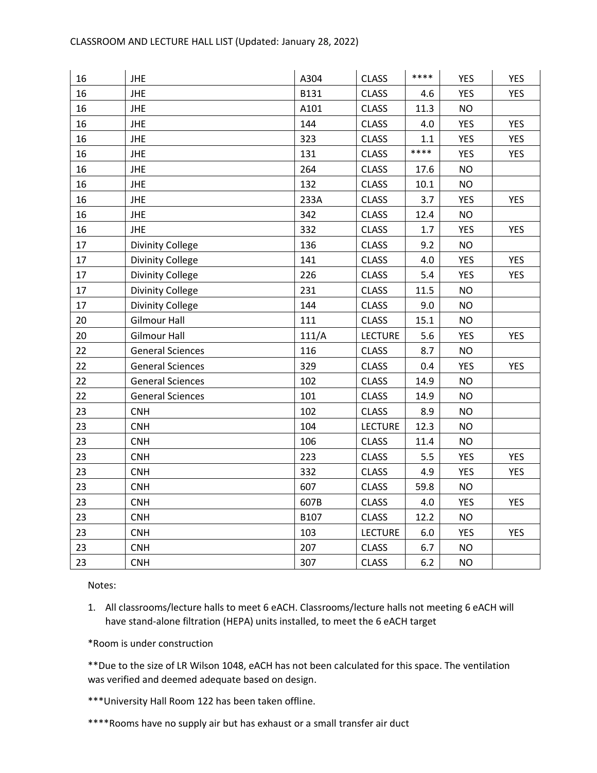| 16 | <b>JHE</b>              | A304  | <b>CLASS</b>   | ****    | <b>YES</b> | <b>YES</b> |
|----|-------------------------|-------|----------------|---------|------------|------------|
| 16 | <b>JHE</b>              | B131  | <b>CLASS</b>   | 4.6     | <b>YES</b> | <b>YES</b> |
| 16 | <b>JHE</b>              | A101  | <b>CLASS</b>   | 11.3    | <b>NO</b>  |            |
| 16 | <b>JHE</b>              | 144   | <b>CLASS</b>   | 4.0     | <b>YES</b> | <b>YES</b> |
| 16 | <b>JHE</b>              | 323   | <b>CLASS</b>   | $1.1\,$ | <b>YES</b> | <b>YES</b> |
| 16 | <b>JHE</b>              | 131   | <b>CLASS</b>   | ****    | <b>YES</b> | <b>YES</b> |
| 16 | <b>JHE</b>              | 264   | <b>CLASS</b>   | 17.6    | <b>NO</b>  |            |
| 16 | <b>JHE</b>              | 132   | <b>CLASS</b>   | 10.1    | <b>NO</b>  |            |
| 16 | <b>JHE</b>              | 233A  | <b>CLASS</b>   | 3.7     | <b>YES</b> | <b>YES</b> |
| 16 | <b>JHE</b>              | 342   | <b>CLASS</b>   | 12.4    | <b>NO</b>  |            |
| 16 | <b>JHE</b>              | 332   | <b>CLASS</b>   | 1.7     | <b>YES</b> | <b>YES</b> |
| 17 | <b>Divinity College</b> | 136   | <b>CLASS</b>   | 9.2     | <b>NO</b>  |            |
| 17 | <b>Divinity College</b> | 141   | <b>CLASS</b>   | 4.0     | <b>YES</b> | <b>YES</b> |
| 17 | Divinity College        | 226   | <b>CLASS</b>   | 5.4     | <b>YES</b> | <b>YES</b> |
| 17 | Divinity College        | 231   | <b>CLASS</b>   | 11.5    | <b>NO</b>  |            |
| 17 | Divinity College        | 144   | CLASS          | 9.0     | <b>NO</b>  |            |
| 20 | <b>Gilmour Hall</b>     | 111   | <b>CLASS</b>   | 15.1    | <b>NO</b>  |            |
| 20 | <b>Gilmour Hall</b>     | 111/A | <b>LECTURE</b> | 5.6     | <b>YES</b> | <b>YES</b> |
| 22 | <b>General Sciences</b> | 116   | <b>CLASS</b>   | 8.7     | <b>NO</b>  |            |
| 22 | <b>General Sciences</b> | 329   | <b>CLASS</b>   | 0.4     | <b>YES</b> | <b>YES</b> |
| 22 | <b>General Sciences</b> | 102   | <b>CLASS</b>   | 14.9    | <b>NO</b>  |            |
| 22 | <b>General Sciences</b> | 101   | <b>CLASS</b>   | 14.9    | <b>NO</b>  |            |
| 23 | <b>CNH</b>              | 102   | <b>CLASS</b>   | 8.9     | <b>NO</b>  |            |
| 23 | <b>CNH</b>              | 104   | <b>LECTURE</b> | 12.3    | <b>NO</b>  |            |
| 23 | <b>CNH</b>              | 106   | <b>CLASS</b>   | 11.4    | <b>NO</b>  |            |
| 23 | <b>CNH</b>              | 223   | <b>CLASS</b>   | 5.5     | <b>YES</b> | <b>YES</b> |
| 23 | <b>CNH</b>              | 332   | <b>CLASS</b>   | 4.9     | <b>YES</b> | <b>YES</b> |
| 23 | <b>CNH</b>              | 607   | <b>CLASS</b>   | 59.8    | <b>NO</b>  |            |
| 23 | <b>CNH</b>              | 607B  | <b>CLASS</b>   | 4.0     | <b>YES</b> | <b>YES</b> |
| 23 | <b>CNH</b>              | B107  | <b>CLASS</b>   | 12.2    | <b>NO</b>  |            |
| 23 | <b>CNH</b>              | 103   | <b>LECTURE</b> | 6.0     | <b>YES</b> | <b>YES</b> |
| 23 | <b>CNH</b>              | 207   | <b>CLASS</b>   | 6.7     | <b>NO</b>  |            |
| 23 | <b>CNH</b>              | 307   | <b>CLASS</b>   | 6.2     | <b>NO</b>  |            |

1. All classrooms/lecture halls to meet 6 eACH. Classrooms/lecture halls not meeting 6 eACH will have stand-alone filtration (HEPA) units installed, to meet the 6 eACH target

\*Room is under construction

\*\*Due to the size of LR Wilson 1048, eACH has not been calculated for this space. The ventilation was verified and deemed adequate based on design.

\*\*\*University Hall Room 122 has been taken offline.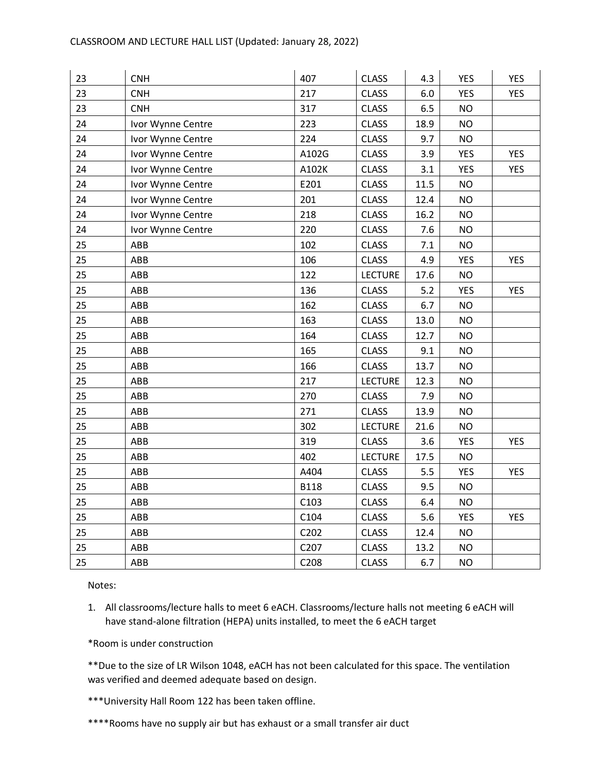| 23 | <b>CNH</b>        | 407         | <b>CLASS</b>   | 4.3  | <b>YES</b> | <b>YES</b> |
|----|-------------------|-------------|----------------|------|------------|------------|
| 23 | <b>CNH</b>        | 217         | <b>CLASS</b>   | 6.0  | <b>YES</b> | <b>YES</b> |
| 23 | <b>CNH</b>        | 317         | <b>CLASS</b>   | 6.5  | <b>NO</b>  |            |
| 24 | Ivor Wynne Centre | 223         | <b>CLASS</b>   | 18.9 | <b>NO</b>  |            |
| 24 | Ivor Wynne Centre | 224         | <b>CLASS</b>   | 9.7  | <b>NO</b>  |            |
| 24 | Ivor Wynne Centre | A102G       | <b>CLASS</b>   | 3.9  | <b>YES</b> | <b>YES</b> |
| 24 | Ivor Wynne Centre | A102K       | <b>CLASS</b>   | 3.1  | <b>YES</b> | <b>YES</b> |
| 24 | Ivor Wynne Centre | E201        | <b>CLASS</b>   | 11.5 | <b>NO</b>  |            |
| 24 | Ivor Wynne Centre | 201         | <b>CLASS</b>   | 12.4 | <b>NO</b>  |            |
| 24 | Ivor Wynne Centre | 218         | <b>CLASS</b>   | 16.2 | <b>NO</b>  |            |
| 24 | Ivor Wynne Centre | 220         | <b>CLASS</b>   | 7.6  | <b>NO</b>  |            |
| 25 | ABB               | 102         | <b>CLASS</b>   | 7.1  | <b>NO</b>  |            |
| 25 | ABB               | 106         | <b>CLASS</b>   | 4.9  | <b>YES</b> | <b>YES</b> |
| 25 | ABB               | 122         | <b>LECTURE</b> | 17.6 | <b>NO</b>  |            |
| 25 | ABB               | 136         | <b>CLASS</b>   | 5.2  | <b>YES</b> | <b>YES</b> |
| 25 | ABB               | 162         | <b>CLASS</b>   | 6.7  | <b>NO</b>  |            |
| 25 | ABB               | 163         | <b>CLASS</b>   | 13.0 | <b>NO</b>  |            |
| 25 | ABB               | 164         | <b>CLASS</b>   | 12.7 | <b>NO</b>  |            |
| 25 | ABB               | 165         | <b>CLASS</b>   | 9.1  | <b>NO</b>  |            |
| 25 | ABB               | 166         | <b>CLASS</b>   | 13.7 | <b>NO</b>  |            |
| 25 | ABB               | 217         | <b>LECTURE</b> | 12.3 | <b>NO</b>  |            |
| 25 | ABB               | 270         | <b>CLASS</b>   | 7.9  | <b>NO</b>  |            |
| 25 | ABB               | 271         | <b>CLASS</b>   | 13.9 | <b>NO</b>  |            |
| 25 | ABB               | 302         | <b>LECTURE</b> | 21.6 | <b>NO</b>  |            |
| 25 | ABB               | 319         | <b>CLASS</b>   | 3.6  | <b>YES</b> | <b>YES</b> |
| 25 | ABB               | 402         | <b>LECTURE</b> | 17.5 | <b>NO</b>  |            |
| 25 | ABB               | A404        | <b>CLASS</b>   | 5.5  | <b>YES</b> | <b>YES</b> |
| 25 | ABB               | <b>B118</b> | <b>CLASS</b>   | 9.5  | <b>NO</b>  |            |
| 25 | ABB               | C103        | <b>CLASS</b>   | 6.4  | <b>NO</b>  |            |
| 25 | ABB               | C104        | <b>CLASS</b>   | 5.6  | <b>YES</b> | <b>YES</b> |
| 25 | ABB               | C202        | <b>CLASS</b>   | 12.4 | <b>NO</b>  |            |
| 25 | ABB               | C207        | <b>CLASS</b>   | 13.2 | <b>NO</b>  |            |
| 25 | ABB               | C208        | <b>CLASS</b>   | 6.7  | <b>NO</b>  |            |

1. All classrooms/lecture halls to meet 6 eACH. Classrooms/lecture halls not meeting 6 eACH will have stand-alone filtration (HEPA) units installed, to meet the 6 eACH target

\*Room is under construction

\*\*Due to the size of LR Wilson 1048, eACH has not been calculated for this space. The ventilation was verified and deemed adequate based on design.

\*\*\*University Hall Room 122 has been taken offline.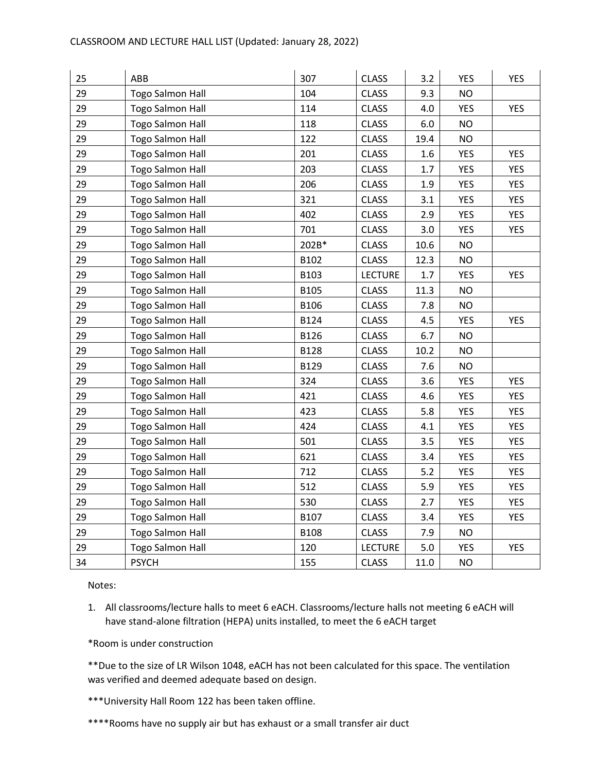| 25 | ABB                     | 307         | <b>CLASS</b>   | 3.2     | <b>YES</b> | <b>YES</b> |
|----|-------------------------|-------------|----------------|---------|------------|------------|
| 29 | <b>Togo Salmon Hall</b> | 104         | <b>CLASS</b>   | 9.3     | <b>NO</b>  |            |
| 29 | <b>Togo Salmon Hall</b> | 114         | <b>CLASS</b>   | 4.0     | <b>YES</b> | <b>YES</b> |
| 29 | <b>Togo Salmon Hall</b> | 118         | <b>CLASS</b>   | 6.0     | <b>NO</b>  |            |
| 29 | <b>Togo Salmon Hall</b> | 122         | <b>CLASS</b>   | 19.4    | <b>NO</b>  |            |
| 29 | <b>Togo Salmon Hall</b> | 201         | <b>CLASS</b>   | 1.6     | <b>YES</b> | <b>YES</b> |
| 29 | <b>Togo Salmon Hall</b> | 203         | <b>CLASS</b>   | $1.7\,$ | YES        | <b>YES</b> |
| 29 | <b>Togo Salmon Hall</b> | 206         | <b>CLASS</b>   | 1.9     | YES        | <b>YES</b> |
| 29 | <b>Togo Salmon Hall</b> | 321         | <b>CLASS</b>   | 3.1     | <b>YES</b> | <b>YES</b> |
| 29 | Togo Salmon Hall        | 402         | <b>CLASS</b>   | 2.9     | <b>YES</b> | <b>YES</b> |
| 29 | <b>Togo Salmon Hall</b> | 701         | <b>CLASS</b>   | 3.0     | YES        | YES        |
| 29 | <b>Togo Salmon Hall</b> | 202B*       | <b>CLASS</b>   | 10.6    | <b>NO</b>  |            |
| 29 | <b>Togo Salmon Hall</b> | B102        | <b>CLASS</b>   | 12.3    | <b>NO</b>  |            |
| 29 | <b>Togo Salmon Hall</b> | B103        | <b>LECTURE</b> | 1.7     | <b>YES</b> | <b>YES</b> |
| 29 | <b>Togo Salmon Hall</b> | <b>B105</b> | <b>CLASS</b>   | 11.3    | <b>NO</b>  |            |
| 29 | <b>Togo Salmon Hall</b> | B106        | <b>CLASS</b>   | 7.8     | <b>NO</b>  |            |
| 29 | <b>Togo Salmon Hall</b> | B124        | <b>CLASS</b>   | 4.5     | <b>YES</b> | <b>YES</b> |
| 29 | <b>Togo Salmon Hall</b> | B126        | <b>CLASS</b>   | 6.7     | <b>NO</b>  |            |
| 29 | <b>Togo Salmon Hall</b> | <b>B128</b> | <b>CLASS</b>   | 10.2    | <b>NO</b>  |            |
| 29 | <b>Togo Salmon Hall</b> | B129        | <b>CLASS</b>   | 7.6     | <b>NO</b>  |            |
| 29 | <b>Togo Salmon Hall</b> | 324         | <b>CLASS</b>   | 3.6     | <b>YES</b> | <b>YES</b> |
| 29 | <b>Togo Salmon Hall</b> | 421         | <b>CLASS</b>   | 4.6     | <b>YES</b> | <b>YES</b> |
| 29 | <b>Togo Salmon Hall</b> | 423         | <b>CLASS</b>   | 5.8     | <b>YES</b> | <b>YES</b> |
| 29 | <b>Togo Salmon Hall</b> | 424         | <b>CLASS</b>   | 4.1     | <b>YES</b> | <b>YES</b> |
| 29 | Togo Salmon Hall        | 501         | <b>CLASS</b>   | 3.5     | <b>YES</b> | <b>YES</b> |
| 29 | <b>Togo Salmon Hall</b> | 621         | <b>CLASS</b>   | 3.4     | <b>YES</b> | YES        |
| 29 | <b>Togo Salmon Hall</b> | 712         | <b>CLASS</b>   | 5.2     | <b>YES</b> | <b>YES</b> |
| 29 | <b>Togo Salmon Hall</b> | 512         | <b>CLASS</b>   | 5.9     | <b>YES</b> | <b>YES</b> |
| 29 | <b>Togo Salmon Hall</b> | 530         | <b>CLASS</b>   | 2.7     | <b>YES</b> | <b>YES</b> |
| 29 | <b>Togo Salmon Hall</b> | B107        | <b>CLASS</b>   | 3.4     | YES        | YES        |
| 29 | <b>Togo Salmon Hall</b> | <b>B108</b> | <b>CLASS</b>   | 7.9     | <b>NO</b>  |            |
| 29 | <b>Togo Salmon Hall</b> | 120         | <b>LECTURE</b> | 5.0     | <b>YES</b> | <b>YES</b> |
| 34 | <b>PSYCH</b>            | 155         | <b>CLASS</b>   | 11.0    | <b>NO</b>  |            |

1. All classrooms/lecture halls to meet 6 eACH. Classrooms/lecture halls not meeting 6 eACH will have stand-alone filtration (HEPA) units installed, to meet the 6 eACH target

\*Room is under construction

\*\*Due to the size of LR Wilson 1048, eACH has not been calculated for this space. The ventilation was verified and deemed adequate based on design.

\*\*\*University Hall Room 122 has been taken offline.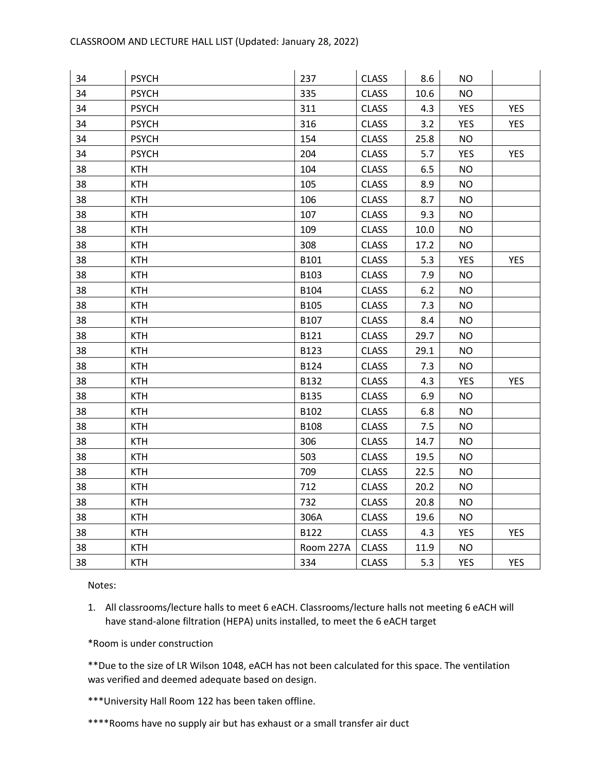| 34 | <b>PSYCH</b> | 237         | <b>CLASS</b> | 8.6  | <b>NO</b>  |            |
|----|--------------|-------------|--------------|------|------------|------------|
| 34 | <b>PSYCH</b> | 335         | <b>CLASS</b> | 10.6 | <b>NO</b>  |            |
| 34 | <b>PSYCH</b> | 311         | <b>CLASS</b> | 4.3  | <b>YES</b> | <b>YES</b> |
| 34 | <b>PSYCH</b> | 316         | <b>CLASS</b> | 3.2  | <b>YES</b> | <b>YES</b> |
| 34 | <b>PSYCH</b> | 154         | <b>CLASS</b> | 25.8 | <b>NO</b>  |            |
| 34 | <b>PSYCH</b> | 204         | <b>CLASS</b> | 5.7  | <b>YES</b> | <b>YES</b> |
| 38 | <b>KTH</b>   | 104         | <b>CLASS</b> | 6.5  | <b>NO</b>  |            |
| 38 | <b>KTH</b>   | 105         | <b>CLASS</b> | 8.9  | <b>NO</b>  |            |
| 38 | <b>KTH</b>   | 106         | <b>CLASS</b> | 8.7  | <b>NO</b>  |            |
| 38 | <b>KTH</b>   | 107         | <b>CLASS</b> | 9.3  | <b>NO</b>  |            |
| 38 | <b>KTH</b>   | 109         | <b>CLASS</b> | 10.0 | <b>NO</b>  |            |
| 38 | <b>KTH</b>   | 308         | <b>CLASS</b> | 17.2 | <b>NO</b>  |            |
| 38 | <b>KTH</b>   | B101        | <b>CLASS</b> | 5.3  | <b>YES</b> | <b>YES</b> |
| 38 | <b>KTH</b>   | B103        | <b>CLASS</b> | 7.9  | <b>NO</b>  |            |
| 38 | <b>KTH</b>   | B104        | <b>CLASS</b> | 6.2  | <b>NO</b>  |            |
| 38 | <b>KTH</b>   | B105        | <b>CLASS</b> | 7.3  | <b>NO</b>  |            |
| 38 | <b>KTH</b>   | B107        | <b>CLASS</b> | 8.4  | <b>NO</b>  |            |
| 38 | <b>KTH</b>   | B121        | <b>CLASS</b> | 29.7 | <b>NO</b>  |            |
| 38 | <b>KTH</b>   | B123        | <b>CLASS</b> | 29.1 | <b>NO</b>  |            |
| 38 | <b>KTH</b>   | B124        | <b>CLASS</b> | 7.3  | <b>NO</b>  |            |
| 38 | <b>KTH</b>   | B132        | <b>CLASS</b> | 4.3  | <b>YES</b> | <b>YES</b> |
| 38 | <b>KTH</b>   | <b>B135</b> | <b>CLASS</b> | 6.9  | <b>NO</b>  |            |
| 38 | <b>KTH</b>   | B102        | <b>CLASS</b> | 6.8  | <b>NO</b>  |            |
| 38 | <b>KTH</b>   | <b>B108</b> | <b>CLASS</b> | 7.5  | <b>NO</b>  |            |
| 38 | <b>KTH</b>   | 306         | <b>CLASS</b> | 14.7 | <b>NO</b>  |            |
| 38 | <b>KTH</b>   | 503         | <b>CLASS</b> | 19.5 | <b>NO</b>  |            |
| 38 | <b>KTH</b>   | 709         | <b>CLASS</b> | 22.5 | <b>NO</b>  |            |
| 38 | <b>KTH</b>   | 712         | <b>CLASS</b> | 20.2 | <b>NO</b>  |            |
| 38 | <b>KTH</b>   | 732         | <b>CLASS</b> | 20.8 | <b>NO</b>  |            |
| 38 | <b>KTH</b>   | 306A        | <b>CLASS</b> | 19.6 | <b>NO</b>  |            |
| 38 | <b>KTH</b>   | B122        | <b>CLASS</b> | 4.3  | <b>YES</b> | <b>YES</b> |
| 38 | <b>KTH</b>   | Room 227A   | <b>CLASS</b> | 11.9 | <b>NO</b>  |            |
| 38 | <b>KTH</b>   | 334         | <b>CLASS</b> | 5.3  | <b>YES</b> | <b>YES</b> |

1. All classrooms/lecture halls to meet 6 eACH. Classrooms/lecture halls not meeting 6 eACH will have stand-alone filtration (HEPA) units installed, to meet the 6 eACH target

\*Room is under construction

\*\*Due to the size of LR Wilson 1048, eACH has not been calculated for this space. The ventilation was verified and deemed adequate based on design.

\*\*\*University Hall Room 122 has been taken offline.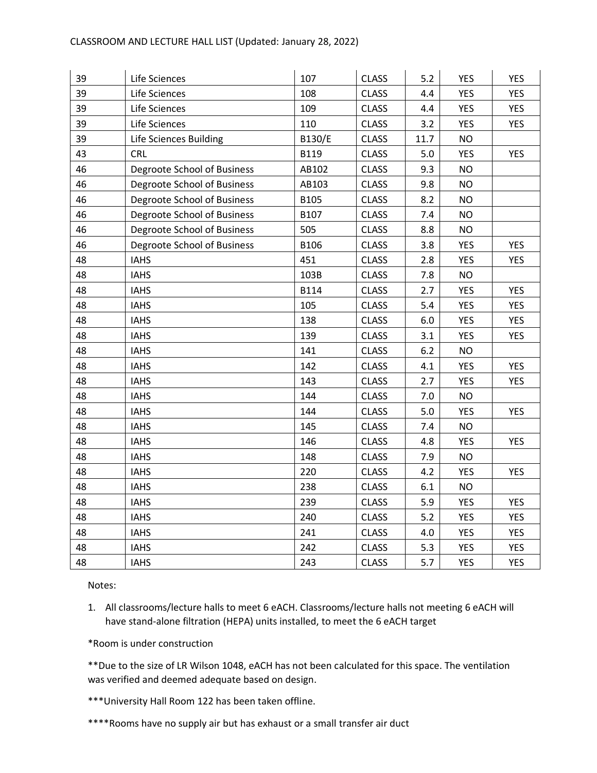| 39 | Life Sciences               | 107         | <b>CLASS</b> | 5.2  | <b>YES</b> | <b>YES</b> |
|----|-----------------------------|-------------|--------------|------|------------|------------|
| 39 | Life Sciences               | 108         | <b>CLASS</b> | 4.4  | <b>YES</b> | <b>YES</b> |
| 39 | Life Sciences               | 109         | <b>CLASS</b> | 4.4  | <b>YES</b> | <b>YES</b> |
| 39 | Life Sciences               | 110         | <b>CLASS</b> | 3.2  | <b>YES</b> | YES        |
| 39 | Life Sciences Building      | B130/E      | <b>CLASS</b> | 11.7 | <b>NO</b>  |            |
| 43 | <b>CRL</b>                  | B119        | <b>CLASS</b> | 5.0  | <b>YES</b> | <b>YES</b> |
| 46 | Degroote School of Business | AB102       | <b>CLASS</b> | 9.3  | <b>NO</b>  |            |
| 46 | Degroote School of Business | AB103       | <b>CLASS</b> | 9.8  | <b>NO</b>  |            |
| 46 | Degroote School of Business | <b>B105</b> | <b>CLASS</b> | 8.2  | <b>NO</b>  |            |
| 46 | Degroote School of Business | B107        | <b>CLASS</b> | 7.4  | <b>NO</b>  |            |
| 46 | Degroote School of Business | 505         | <b>CLASS</b> | 8.8  | <b>NO</b>  |            |
| 46 | Degroote School of Business | B106        | <b>CLASS</b> | 3.8  | <b>YES</b> | <b>YES</b> |
| 48 | <b>IAHS</b>                 | 451         | <b>CLASS</b> | 2.8  | <b>YES</b> | <b>YES</b> |
| 48 | <b>IAHS</b>                 | 103B        | <b>CLASS</b> | 7.8  | <b>NO</b>  |            |
| 48 | <b>IAHS</b>                 | <b>B114</b> | <b>CLASS</b> | 2.7  | <b>YES</b> | <b>YES</b> |
| 48 | <b>IAHS</b>                 | 105         | <b>CLASS</b> | 5.4  | <b>YES</b> | <b>YES</b> |
| 48 | <b>IAHS</b>                 | 138         | <b>CLASS</b> | 6.0  | <b>YES</b> | <b>YES</b> |
| 48 | <b>IAHS</b>                 | 139         | <b>CLASS</b> | 3.1  | <b>YES</b> | <b>YES</b> |
| 48 | <b>IAHS</b>                 | 141         | <b>CLASS</b> | 6.2  | <b>NO</b>  |            |
| 48 | <b>IAHS</b>                 | 142         | <b>CLASS</b> | 4.1  | YES        | <b>YES</b> |
| 48 | <b>IAHS</b>                 | 143         | <b>CLASS</b> | 2.7  | <b>YES</b> | <b>YES</b> |
| 48 | <b>IAHS</b>                 | 144         | <b>CLASS</b> | 7.0  | <b>NO</b>  |            |
| 48 | <b>IAHS</b>                 | 144         | <b>CLASS</b> | 5.0  | <b>YES</b> | <b>YES</b> |
| 48 | <b>IAHS</b>                 | 145         | <b>CLASS</b> | 7.4  | <b>NO</b>  |            |
| 48 | <b>IAHS</b>                 | 146         | <b>CLASS</b> | 4.8  | <b>YES</b> | <b>YES</b> |
| 48 | <b>IAHS</b>                 | 148         | <b>CLASS</b> | 7.9  | <b>NO</b>  |            |
| 48 | <b>IAHS</b>                 | 220         | <b>CLASS</b> | 4.2  | <b>YES</b> | <b>YES</b> |
| 48 | <b>IAHS</b>                 | 238         | <b>CLASS</b> | 6.1  | <b>NO</b>  |            |
| 48 | <b>IAHS</b>                 | 239         | <b>CLASS</b> | 5.9  | <b>YES</b> | <b>YES</b> |
| 48 | <b>IAHS</b>                 | 240         | <b>CLASS</b> | 5.2  | <b>YES</b> | <b>YES</b> |
| 48 | <b>IAHS</b>                 | 241         | <b>CLASS</b> | 4.0  | <b>YES</b> | <b>YES</b> |
| 48 | <b>IAHS</b>                 | 242         | <b>CLASS</b> | 5.3  | <b>YES</b> | <b>YES</b> |
| 48 | <b>IAHS</b>                 | 243         | <b>CLASS</b> | 5.7  | <b>YES</b> | <b>YES</b> |

1. All classrooms/lecture halls to meet 6 eACH. Classrooms/lecture halls not meeting 6 eACH will have stand-alone filtration (HEPA) units installed, to meet the 6 eACH target

\*Room is under construction

\*\*Due to the size of LR Wilson 1048, eACH has not been calculated for this space. The ventilation was verified and deemed adequate based on design.

\*\*\*University Hall Room 122 has been taken offline.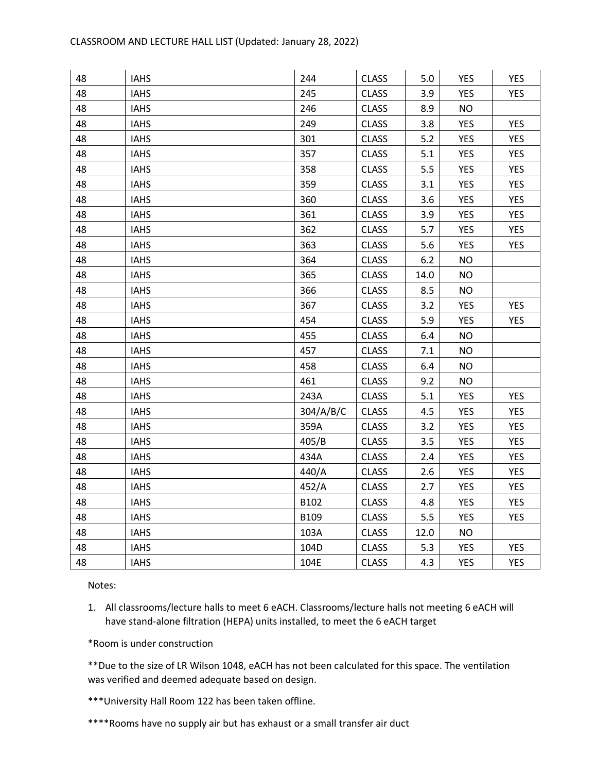| 48 | <b>IAHS</b> | 244       | <b>CLASS</b> | 5.0  | <b>YES</b> | <b>YES</b> |
|----|-------------|-----------|--------------|------|------------|------------|
| 48 | <b>IAHS</b> | 245       | <b>CLASS</b> | 3.9  | <b>YES</b> | <b>YES</b> |
| 48 | <b>IAHS</b> | 246       | <b>CLASS</b> | 8.9  | <b>NO</b>  |            |
| 48 | <b>IAHS</b> | 249       | <b>CLASS</b> | 3.8  | <b>YES</b> | <b>YES</b> |
| 48 | <b>IAHS</b> | 301       | <b>CLASS</b> | 5.2  | <b>YES</b> | <b>YES</b> |
| 48 | <b>IAHS</b> | 357       | <b>CLASS</b> | 5.1  | <b>YES</b> | <b>YES</b> |
| 48 | <b>IAHS</b> | 358       | <b>CLASS</b> | 5.5  | <b>YES</b> | <b>YES</b> |
| 48 | <b>IAHS</b> | 359       | <b>CLASS</b> | 3.1  | <b>YES</b> | <b>YES</b> |
| 48 | <b>IAHS</b> | 360       | <b>CLASS</b> | 3.6  | <b>YES</b> | <b>YES</b> |
| 48 | <b>IAHS</b> | 361       | <b>CLASS</b> | 3.9  | <b>YES</b> | <b>YES</b> |
| 48 | <b>IAHS</b> | 362       | <b>CLASS</b> | 5.7  | <b>YES</b> | <b>YES</b> |
| 48 | <b>IAHS</b> | 363       | <b>CLASS</b> | 5.6  | <b>YES</b> | <b>YES</b> |
| 48 | <b>IAHS</b> | 364       | <b>CLASS</b> | 6.2  | <b>NO</b>  |            |
| 48 | <b>IAHS</b> | 365       | <b>CLASS</b> | 14.0 | <b>NO</b>  |            |
| 48 | <b>IAHS</b> | 366       | <b>CLASS</b> | 8.5  | <b>NO</b>  |            |
| 48 | <b>IAHS</b> | 367       | <b>CLASS</b> | 3.2  | <b>YES</b> | <b>YES</b> |
| 48 | <b>IAHS</b> | 454       | <b>CLASS</b> | 5.9  | <b>YES</b> | <b>YES</b> |
| 48 | <b>IAHS</b> | 455       | <b>CLASS</b> | 6.4  | <b>NO</b>  |            |
| 48 | <b>IAHS</b> | 457       | <b>CLASS</b> | 7.1  | <b>NO</b>  |            |
| 48 | <b>IAHS</b> | 458       | <b>CLASS</b> | 6.4  | <b>NO</b>  |            |
| 48 | <b>IAHS</b> | 461       | <b>CLASS</b> | 9.2  | <b>NO</b>  |            |
| 48 | <b>IAHS</b> | 243A      | <b>CLASS</b> | 5.1  | <b>YES</b> | <b>YES</b> |
| 48 | <b>IAHS</b> | 304/A/B/C | <b>CLASS</b> | 4.5  | <b>YES</b> | <b>YES</b> |
| 48 | <b>IAHS</b> | 359A      | <b>CLASS</b> | 3.2  | <b>YES</b> | <b>YES</b> |
| 48 | <b>IAHS</b> | 405/B     | <b>CLASS</b> | 3.5  | <b>YES</b> | <b>YES</b> |
| 48 | <b>IAHS</b> | 434A      | <b>CLASS</b> | 2.4  | <b>YES</b> | <b>YES</b> |
| 48 | <b>IAHS</b> | 440/A     | <b>CLASS</b> | 2.6  | <b>YES</b> | <b>YES</b> |
| 48 | <b>IAHS</b> | 452/A     | <b>CLASS</b> | 2.7  | <b>YES</b> | <b>YES</b> |
| 48 | <b>IAHS</b> | B102      | <b>CLASS</b> | 4.8  | <b>YES</b> | <b>YES</b> |
| 48 | <b>IAHS</b> | B109      | <b>CLASS</b> | 5.5  | <b>YES</b> | <b>YES</b> |
| 48 | <b>IAHS</b> | 103A      | <b>CLASS</b> | 12.0 | <b>NO</b>  |            |
| 48 | <b>IAHS</b> | 104D      | <b>CLASS</b> | 5.3  | <b>YES</b> | <b>YES</b> |
| 48 | <b>IAHS</b> | 104E      | <b>CLASS</b> | 4.3  | <b>YES</b> | <b>YES</b> |

1. All classrooms/lecture halls to meet 6 eACH. Classrooms/lecture halls not meeting 6 eACH will have stand-alone filtration (HEPA) units installed, to meet the 6 eACH target

\*Room is under construction

\*\*Due to the size of LR Wilson 1048, eACH has not been calculated for this space. The ventilation was verified and deemed adequate based on design.

\*\*\*University Hall Room 122 has been taken offline.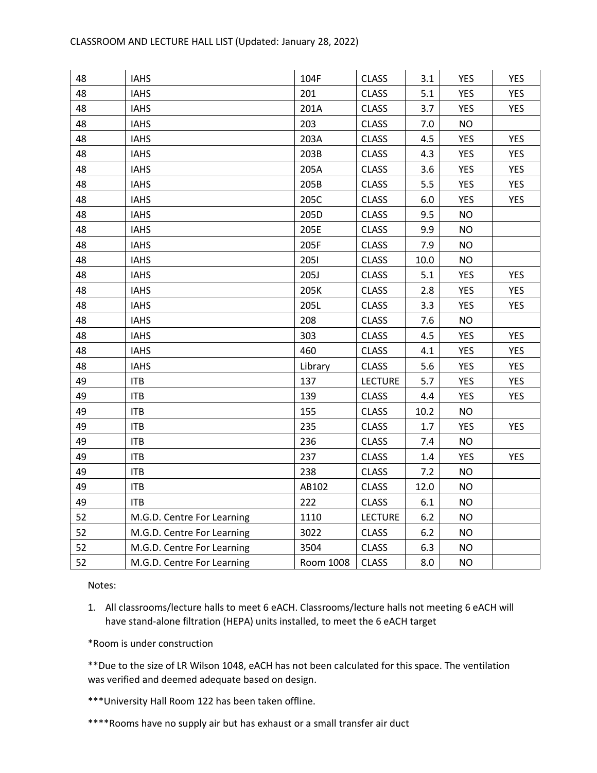| 48 | <b>IAHS</b>                | 104F      | <b>CLASS</b>   | 3.1     | <b>YES</b> | <b>YES</b> |
|----|----------------------------|-----------|----------------|---------|------------|------------|
| 48 | <b>IAHS</b>                | 201       | <b>CLASS</b>   | 5.1     | <b>YES</b> | <b>YES</b> |
| 48 | <b>IAHS</b>                | 201A      | <b>CLASS</b>   | 3.7     | YES        | YES.       |
| 48 | <b>IAHS</b>                | 203       | <b>CLASS</b>   | 7.0     | <b>NO</b>  |            |
| 48 | <b>IAHS</b>                | 203A      | <b>CLASS</b>   | 4.5     | <b>YES</b> | <b>YES</b> |
| 48 | <b>IAHS</b>                | 203B      | <b>CLASS</b>   | 4.3     | <b>YES</b> | <b>YES</b> |
| 48 | <b>IAHS</b>                | 205A      | <b>CLASS</b>   | 3.6     | <b>YES</b> | <b>YES</b> |
| 48 | <b>IAHS</b>                | 205B      | <b>CLASS</b>   | 5.5     | <b>YES</b> | <b>YES</b> |
| 48 | <b>IAHS</b>                | 205C      | <b>CLASS</b>   | 6.0     | <b>YES</b> | <b>YES</b> |
| 48 | <b>IAHS</b>                | 205D      | <b>CLASS</b>   | 9.5     | <b>NO</b>  |            |
| 48 | <b>IAHS</b>                | 205E      | <b>CLASS</b>   | 9.9     | <b>NO</b>  |            |
| 48 | <b>IAHS</b>                | 205F      | <b>CLASS</b>   | 7.9     | <b>NO</b>  |            |
| 48 | <b>IAHS</b>                | 2051      | <b>CLASS</b>   | 10.0    | <b>NO</b>  |            |
| 48 | <b>IAHS</b>                | 205J      | <b>CLASS</b>   | 5.1     | <b>YES</b> | <b>YES</b> |
| 48 | <b>IAHS</b>                | 205K      | <b>CLASS</b>   | 2.8     | <b>YES</b> | <b>YES</b> |
| 48 | <b>IAHS</b>                | 205L      | <b>CLASS</b>   | 3.3     | <b>YES</b> | <b>YES</b> |
| 48 | <b>IAHS</b>                | 208       | <b>CLASS</b>   | 7.6     | <b>NO</b>  |            |
| 48 | <b>IAHS</b>                | 303       | <b>CLASS</b>   | 4.5     | <b>YES</b> | <b>YES</b> |
| 48 | <b>IAHS</b>                | 460       | <b>CLASS</b>   | 4.1     | <b>YES</b> | <b>YES</b> |
| 48 | <b>IAHS</b>                | Library   | <b>CLASS</b>   | 5.6     | <b>YES</b> | <b>YES</b> |
| 49 | <b>ITB</b>                 | 137       | <b>LECTURE</b> | 5.7     | <b>YES</b> | <b>YES</b> |
| 49 | <b>ITB</b>                 | 139       | <b>CLASS</b>   | 4.4     | <b>YES</b> | <b>YES</b> |
| 49 | <b>ITB</b>                 | 155       | <b>CLASS</b>   | 10.2    | <b>NO</b>  |            |
| 49 | <b>ITB</b>                 | 235       | <b>CLASS</b>   | 1.7     | <b>YES</b> | <b>YES</b> |
| 49 | <b>ITB</b>                 | 236       | <b>CLASS</b>   | 7.4     | <b>NO</b>  |            |
| 49 | <b>ITB</b>                 | 237       | <b>CLASS</b>   | $1.4\,$ | <b>YES</b> | <b>YES</b> |
| 49 | <b>ITB</b>                 | 238       | <b>CLASS</b>   | 7.2     | <b>NO</b>  |            |
| 49 | <b>ITB</b>                 | AB102     | <b>CLASS</b>   | 12.0    | <b>NO</b>  |            |
| 49 | <b>ITB</b>                 | 222       | <b>CLASS</b>   | 6.1     | <b>NO</b>  |            |
| 52 | M.G.D. Centre For Learning | 1110      | <b>LECTURE</b> | 6.2     | <b>NO</b>  |            |
| 52 | M.G.D. Centre For Learning | 3022      | <b>CLASS</b>   | 6.2     | <b>NO</b>  |            |
| 52 | M.G.D. Centre For Learning | 3504      | <b>CLASS</b>   | 6.3     | <b>NO</b>  |            |
| 52 | M.G.D. Centre For Learning | Room 1008 | <b>CLASS</b>   | 8.0     | <b>NO</b>  |            |

1. All classrooms/lecture halls to meet 6 eACH. Classrooms/lecture halls not meeting 6 eACH will have stand-alone filtration (HEPA) units installed, to meet the 6 eACH target

\*Room is under construction

\*\*Due to the size of LR Wilson 1048, eACH has not been calculated for this space. The ventilation was verified and deemed adequate based on design.

\*\*\*University Hall Room 122 has been taken offline.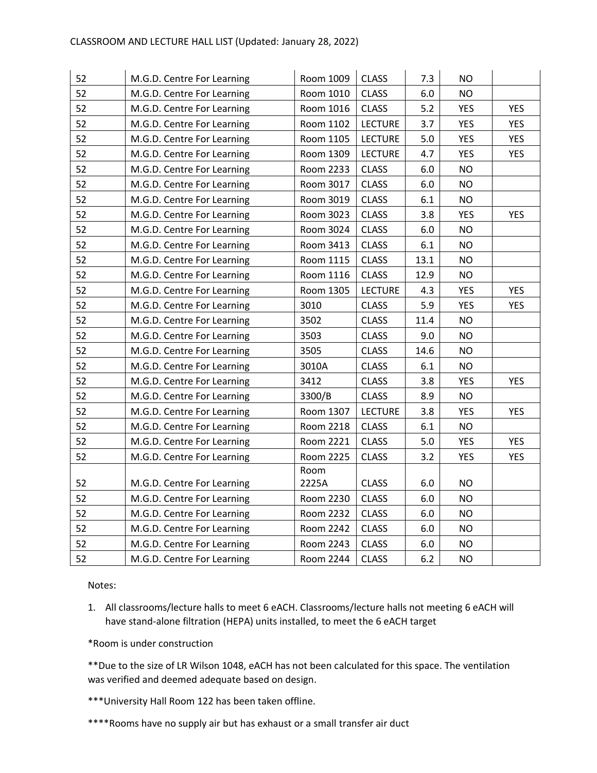| 52 | M.G.D. Centre For Learning | Room 1009 | <b>CLASS</b>   | 7.3     | <b>NO</b>  |            |
|----|----------------------------|-----------|----------------|---------|------------|------------|
| 52 | M.G.D. Centre For Learning | Room 1010 | <b>CLASS</b>   | 6.0     | <b>NO</b>  |            |
| 52 | M.G.D. Centre For Learning | Room 1016 | <b>CLASS</b>   | 5.2     | <b>YES</b> | <b>YES</b> |
| 52 | M.G.D. Centre For Learning | Room 1102 | <b>LECTURE</b> | 3.7     | <b>YES</b> | <b>YES</b> |
| 52 | M.G.D. Centre For Learning | Room 1105 | <b>LECTURE</b> | $5.0\,$ | <b>YES</b> | <b>YES</b> |
| 52 | M.G.D. Centre For Learning | Room 1309 | <b>LECTURE</b> | 4.7     | <b>YES</b> | <b>YES</b> |
| 52 | M.G.D. Centre For Learning | Room 2233 | <b>CLASS</b>   | 6.0     | <b>NO</b>  |            |
| 52 | M.G.D. Centre For Learning | Room 3017 | <b>CLASS</b>   | 6.0     | <b>NO</b>  |            |
| 52 | M.G.D. Centre For Learning | Room 3019 | <b>CLASS</b>   | 6.1     | <b>NO</b>  |            |
| 52 | M.G.D. Centre For Learning | Room 3023 | <b>CLASS</b>   | 3.8     | <b>YES</b> | <b>YES</b> |
| 52 | M.G.D. Centre For Learning | Room 3024 | <b>CLASS</b>   | 6.0     | <b>NO</b>  |            |
| 52 | M.G.D. Centre For Learning | Room 3413 | <b>CLASS</b>   | $6.1\,$ | <b>NO</b>  |            |
| 52 | M.G.D. Centre For Learning | Room 1115 | <b>CLASS</b>   | 13.1    | <b>NO</b>  |            |
| 52 | M.G.D. Centre For Learning | Room 1116 | <b>CLASS</b>   | 12.9    | <b>NO</b>  |            |
| 52 | M.G.D. Centre For Learning | Room 1305 | <b>LECTURE</b> | 4.3     | <b>YES</b> | <b>YES</b> |
| 52 | M.G.D. Centre For Learning | 3010      | <b>CLASS</b>   | 5.9     | <b>YES</b> | <b>YES</b> |
| 52 | M.G.D. Centre For Learning | 3502      | <b>CLASS</b>   | 11.4    | <b>NO</b>  |            |
| 52 | M.G.D. Centre For Learning | 3503      | <b>CLASS</b>   | 9.0     | <b>NO</b>  |            |
| 52 | M.G.D. Centre For Learning | 3505      | <b>CLASS</b>   | 14.6    | <b>NO</b>  |            |
| 52 | M.G.D. Centre For Learning | 3010A     | <b>CLASS</b>   | 6.1     | <b>NO</b>  |            |
| 52 | M.G.D. Centre For Learning | 3412      | <b>CLASS</b>   | 3.8     | <b>YES</b> | <b>YES</b> |
| 52 | M.G.D. Centre For Learning | 3300/B    | <b>CLASS</b>   | 8.9     | <b>NO</b>  |            |
| 52 | M.G.D. Centre For Learning | Room 1307 | <b>LECTURE</b> | 3.8     | <b>YES</b> | <b>YES</b> |
| 52 | M.G.D. Centre For Learning | Room 2218 | <b>CLASS</b>   | 6.1     | <b>NO</b>  |            |
| 52 | M.G.D. Centre For Learning | Room 2221 | <b>CLASS</b>   | 5.0     | <b>YES</b> | <b>YES</b> |
| 52 | M.G.D. Centre For Learning | Room 2225 | <b>CLASS</b>   | 3.2     | <b>YES</b> | <b>YES</b> |
|    |                            | Room      |                |         |            |            |
| 52 | M.G.D. Centre For Learning | 2225A     | <b>CLASS</b>   | 6.0     | <b>NO</b>  |            |
| 52 | M.G.D. Centre For Learning | Room 2230 | <b>CLASS</b>   | $6.0\,$ | <b>NO</b>  |            |
| 52 | M.G.D. Centre For Learning | Room 2232 | <b>CLASS</b>   | 6.0     | <b>NO</b>  |            |
| 52 | M.G.D. Centre For Learning | Room 2242 | <b>CLASS</b>   | $6.0\,$ | <b>NO</b>  |            |
| 52 | M.G.D. Centre For Learning | Room 2243 | <b>CLASS</b>   | 6.0     | <b>NO</b>  |            |
| 52 | M.G.D. Centre For Learning | Room 2244 | <b>CLASS</b>   | 6.2     | <b>NO</b>  |            |

1. All classrooms/lecture halls to meet 6 eACH. Classrooms/lecture halls not meeting 6 eACH will have stand-alone filtration (HEPA) units installed, to meet the 6 eACH target

\*Room is under construction

\*\*Due to the size of LR Wilson 1048, eACH has not been calculated for this space. The ventilation was verified and deemed adequate based on design.

\*\*\*University Hall Room 122 has been taken offline.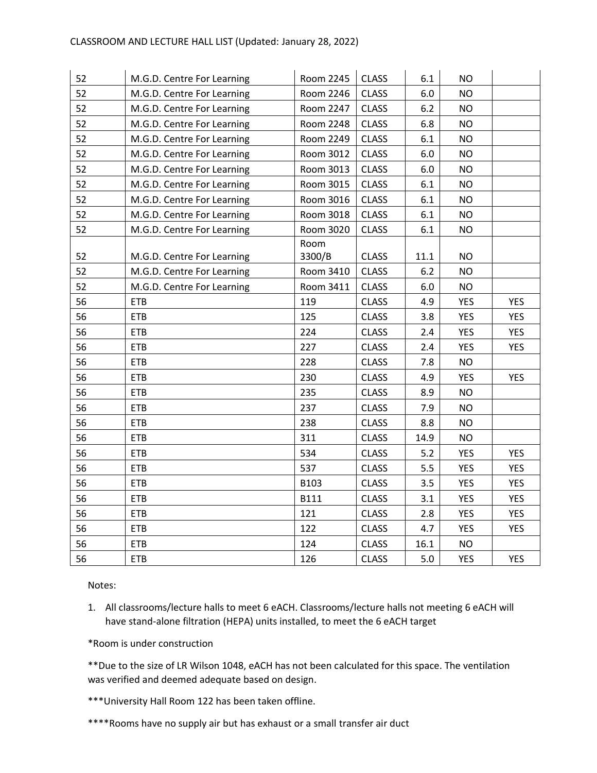| 52 | M.G.D. Centre For Learning | Room 2245      | <b>CLASS</b> | 6.1     | <b>NO</b>  |            |
|----|----------------------------|----------------|--------------|---------|------------|------------|
| 52 | M.G.D. Centre For Learning | Room 2246      | <b>CLASS</b> | 6.0     | <b>NO</b>  |            |
| 52 | M.G.D. Centre For Learning | Room 2247      | <b>CLASS</b> | 6.2     | <b>NO</b>  |            |
| 52 | M.G.D. Centre For Learning | Room 2248      | <b>CLASS</b> | 6.8     | <b>NO</b>  |            |
| 52 | M.G.D. Centre For Learning | Room 2249      | <b>CLASS</b> | 6.1     | <b>NO</b>  |            |
| 52 | M.G.D. Centre For Learning | Room 3012      | <b>CLASS</b> | 6.0     | <b>NO</b>  |            |
| 52 | M.G.D. Centre For Learning | Room 3013      | <b>CLASS</b> | 6.0     | <b>NO</b>  |            |
| 52 | M.G.D. Centre For Learning | Room 3015      | <b>CLASS</b> | 6.1     | <b>NO</b>  |            |
| 52 | M.G.D. Centre For Learning | Room 3016      | <b>CLASS</b> | 6.1     | <b>NO</b>  |            |
| 52 | M.G.D. Centre For Learning | Room 3018      | <b>CLASS</b> | 6.1     | <b>NO</b>  |            |
| 52 | M.G.D. Centre For Learning | Room 3020      | <b>CLASS</b> | 6.1     | <b>NO</b>  |            |
| 52 | M.G.D. Centre For Learning | Room<br>3300/B | <b>CLASS</b> | 11.1    | <b>NO</b>  |            |
| 52 | M.G.D. Centre For Learning | Room 3410      | <b>CLASS</b> | 6.2     | <b>NO</b>  |            |
| 52 | M.G.D. Centre For Learning | Room 3411      | <b>CLASS</b> | $6.0\,$ | <b>NO</b>  |            |
| 56 | <b>ETB</b>                 | 119            | <b>CLASS</b> | 4.9     | <b>YES</b> | <b>YES</b> |
| 56 | <b>ETB</b>                 | 125            | <b>CLASS</b> | 3.8     | <b>YES</b> | <b>YES</b> |
| 56 | <b>ETB</b>                 | 224            | <b>CLASS</b> | 2.4     | <b>YES</b> | <b>YES</b> |
| 56 | <b>ETB</b>                 | 227            | <b>CLASS</b> | 2.4     | <b>YES</b> | <b>YES</b> |
| 56 | <b>ETB</b>                 | 228            | <b>CLASS</b> | 7.8     | <b>NO</b>  |            |
| 56 | <b>ETB</b>                 | 230            | <b>CLASS</b> | 4.9     | <b>YES</b> | <b>YES</b> |
| 56 | <b>ETB</b>                 | 235            | <b>CLASS</b> | 8.9     | <b>NO</b>  |            |
| 56 | <b>ETB</b>                 | 237            | <b>CLASS</b> | 7.9     | <b>NO</b>  |            |
| 56 | <b>ETB</b>                 | 238            | <b>CLASS</b> | 8.8     | <b>NO</b>  |            |
| 56 | <b>ETB</b>                 | 311            | <b>CLASS</b> | 14.9    | <b>NO</b>  |            |
| 56 | <b>ETB</b>                 | 534            | <b>CLASS</b> | 5.2     | <b>YES</b> | <b>YES</b> |
| 56 | <b>ETB</b>                 | 537            | <b>CLASS</b> | 5.5     | <b>YES</b> | <b>YES</b> |
| 56 | <b>ETB</b>                 | B103           | <b>CLASS</b> | 3.5     | <b>YES</b> | <b>YES</b> |
| 56 | <b>ETB</b>                 | <b>B111</b>    | <b>CLASS</b> | 3.1     | <b>YES</b> | <b>YES</b> |
| 56 | <b>ETB</b>                 | 121            | <b>CLASS</b> | 2.8     | <b>YES</b> | <b>YES</b> |
| 56 | <b>ETB</b>                 | 122            | <b>CLASS</b> | 4.7     | <b>YES</b> | <b>YES</b> |
| 56 | <b>ETB</b>                 | 124            | <b>CLASS</b> | 16.1    | <b>NO</b>  |            |
| 56 | <b>ETB</b>                 | 126            | <b>CLASS</b> | 5.0     | <b>YES</b> | <b>YES</b> |

1. All classrooms/lecture halls to meet 6 eACH. Classrooms/lecture halls not meeting 6 eACH will have stand-alone filtration (HEPA) units installed, to meet the 6 eACH target

\*Room is under construction

\*\*Due to the size of LR Wilson 1048, eACH has not been calculated for this space. The ventilation was verified and deemed adequate based on design.

\*\*\*University Hall Room 122 has been taken offline.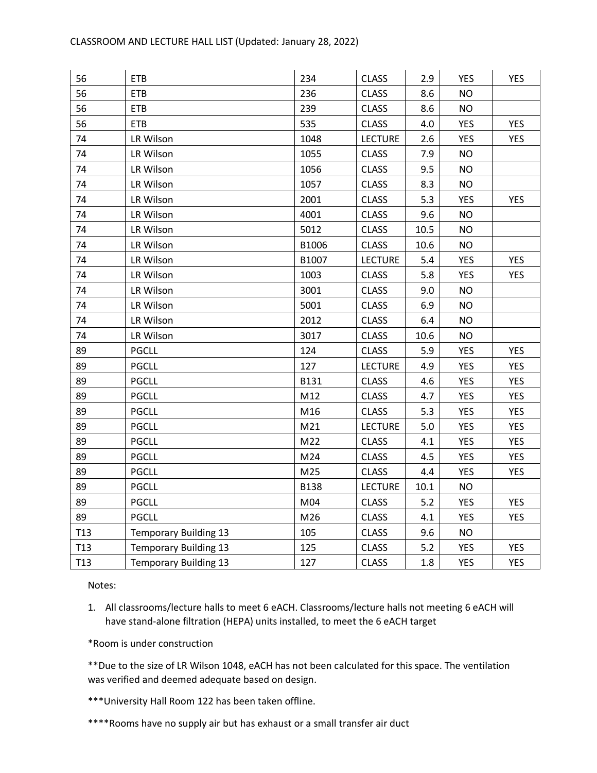| 56              | <b>ETB</b>                   | 234         | <b>CLASS</b>   | 2.9  | <b>YES</b> | <b>YES</b> |
|-----------------|------------------------------|-------------|----------------|------|------------|------------|
| 56              | <b>ETB</b>                   | 236         | <b>CLASS</b>   | 8.6  | <b>NO</b>  |            |
| 56              | <b>ETB</b>                   | 239         | <b>CLASS</b>   | 8.6  | <b>NO</b>  |            |
| 56              | <b>ETB</b>                   | 535         | <b>CLASS</b>   | 4.0  | <b>YES</b> | <b>YES</b> |
| 74              | LR Wilson                    | 1048        | <b>LECTURE</b> | 2.6  | <b>YES</b> | <b>YES</b> |
| 74              | LR Wilson                    | 1055        | <b>CLASS</b>   | 7.9  | <b>NO</b>  |            |
| 74              | LR Wilson                    | 1056        | <b>CLASS</b>   | 9.5  | <b>NO</b>  |            |
| 74              | LR Wilson                    | 1057        | <b>CLASS</b>   | 8.3  | <b>NO</b>  |            |
| 74              | LR Wilson                    | 2001        | <b>CLASS</b>   | 5.3  | <b>YES</b> | <b>YES</b> |
| 74              | LR Wilson                    | 4001        | <b>CLASS</b>   | 9.6  | <b>NO</b>  |            |
| 74              | LR Wilson                    | 5012        | <b>CLASS</b>   | 10.5 | <b>NO</b>  |            |
| 74              | LR Wilson                    | B1006       | <b>CLASS</b>   | 10.6 | <b>NO</b>  |            |
| 74              | LR Wilson                    | B1007       | <b>LECTURE</b> | 5.4  | <b>YES</b> | <b>YES</b> |
| 74              | LR Wilson                    | 1003        | <b>CLASS</b>   | 5.8  | <b>YES</b> | <b>YES</b> |
| 74              | LR Wilson                    | 3001        | <b>CLASS</b>   | 9.0  | <b>NO</b>  |            |
| 74              | LR Wilson                    | 5001        | <b>CLASS</b>   | 6.9  | <b>NO</b>  |            |
| 74              | LR Wilson                    | 2012        | <b>CLASS</b>   | 6.4  | <b>NO</b>  |            |
| 74              | LR Wilson                    | 3017        | <b>CLASS</b>   | 10.6 | <b>NO</b>  |            |
| 89              | <b>PGCLL</b>                 | 124         | <b>CLASS</b>   | 5.9  | <b>YES</b> | <b>YES</b> |
| 89              | <b>PGCLL</b>                 | 127         | <b>LECTURE</b> | 4.9  | <b>YES</b> | <b>YES</b> |
| 89              | <b>PGCLL</b>                 | B131        | <b>CLASS</b>   | 4.6  | <b>YES</b> | <b>YES</b> |
| 89              | <b>PGCLL</b>                 | M12         | <b>CLASS</b>   | 4.7  | <b>YES</b> | <b>YES</b> |
| 89              | <b>PGCLL</b>                 | M16         | <b>CLASS</b>   | 5.3  | <b>YES</b> | <b>YES</b> |
| 89              | <b>PGCLL</b>                 | M21         | <b>LECTURE</b> | 5.0  | <b>YES</b> | <b>YES</b> |
| 89              | <b>PGCLL</b>                 | M22         | <b>CLASS</b>   | 4.1  | <b>YES</b> | <b>YES</b> |
| 89              | <b>PGCLL</b>                 | M24         | <b>CLASS</b>   | 4.5  | <b>YES</b> | <b>YES</b> |
| 89              | <b>PGCLL</b>                 | M25         | <b>CLASS</b>   | 4.4  | <b>YES</b> | <b>YES</b> |
| 89              | <b>PGCLL</b>                 | <b>B138</b> | <b>LECTURE</b> | 10.1 | <b>NO</b>  |            |
| 89              | <b>PGCLL</b>                 | M04         | <b>CLASS</b>   | 5.2  | <b>YES</b> | <b>YES</b> |
| 89              | <b>PGCLL</b>                 | M26         | <b>CLASS</b>   | 4.1  | <b>YES</b> | <b>YES</b> |
| T <sub>13</sub> | <b>Temporary Building 13</b> | 105         | <b>CLASS</b>   | 9.6  | <b>NO</b>  |            |
| T <sub>13</sub> | <b>Temporary Building 13</b> | 125         | <b>CLASS</b>   | 5.2  | <b>YES</b> | <b>YES</b> |
| T <sub>13</sub> | <b>Temporary Building 13</b> | 127         | <b>CLASS</b>   | 1.8  | <b>YES</b> | <b>YES</b> |

1. All classrooms/lecture halls to meet 6 eACH. Classrooms/lecture halls not meeting 6 eACH will have stand-alone filtration (HEPA) units installed, to meet the 6 eACH target

\*Room is under construction

\*\*Due to the size of LR Wilson 1048, eACH has not been calculated for this space. The ventilation was verified and deemed adequate based on design.

\*\*\*University Hall Room 122 has been taken offline.